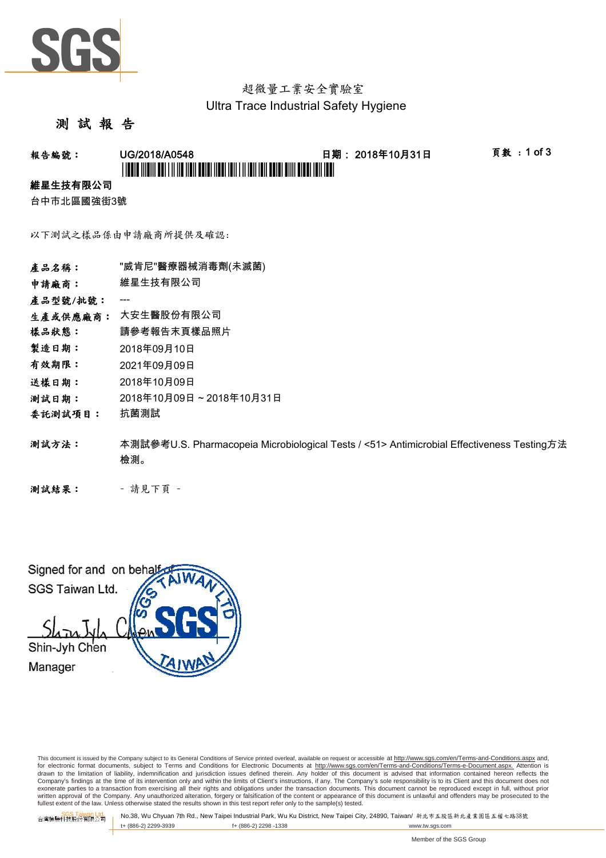

### 超微量工業安全實驗室 Ultra Trace Industrial Safety Hygiene

### 測 試 報 告

## **報告編號: UG/2018/A0548 - 日期:2018年10月31日 - 頁數:1 of 3** \*L'INDIA INDIA DULLA NE NON DONA ALL'INDIA NELL'INDIA NON DUALE DI NEU NON NON

#### 維星生技有限公司

台中市北區國強街3號

以下測試之樣品係由申請廠商所提供及確認:

| 產品名稱:    | "威肯尼"醫療器械消毒劑(未滅菌)                                                                                |
|----------|--------------------------------------------------------------------------------------------------|
| 申請廠商:    | 維星生技有限公司                                                                                         |
| 產品型號/批號: | ---                                                                                              |
| 生產或供應廠商: | 大安生醫股份有限公司                                                                                       |
| 樣品狀態:    | 請參考報告末頁樣品照片                                                                                      |
| 製造日期:    | 2018年09月10日                                                                                      |
| 有效期限:    | 2021年09月09日                                                                                      |
| 送樣日期:    | 2018年10月09日                                                                                      |
| 测試日期:    | 2018年10月09日~2018年10月31日                                                                          |
| 委託測試項目:  | 抗菌測試                                                                                             |
| 測試方法:    | 本測試參考U.S. Pharmacopeia Microbiological Tests / <51> Antimicrobial Effectiveness Testing方法<br>檢測。 |
|          |                                                                                                  |

測試結果: - 請見下頁 -

Signed for and on beha SGS Taiwan Ltd. Shin-Jyh Chen Manager

This document is issued by the Company subject to its General Conditions of Service printed overleaf, available on request or accessible at http://www.sgs.com/en/Terms-and-Conditions.aspx and, for electronic format documents, subject to Terms and Conditions for Electronic Documents at <u>http://www.sqs.com/en/Terms-and-Conditions/Terms-e-Document.aspx.</u> Attention is<br>drawn to the limitation of liability, indemnific exonerate parties to a transaction from exercising all their rights and obligations under the transaction documents. This document cannot be reproduced except in full, without prior written approval of the Company. Any unauthorized alteration, forgery or falsification of the content or appearance of this document is unlawful and offenders may be prosecuted to the<br>fullest extent of the law. Unless othe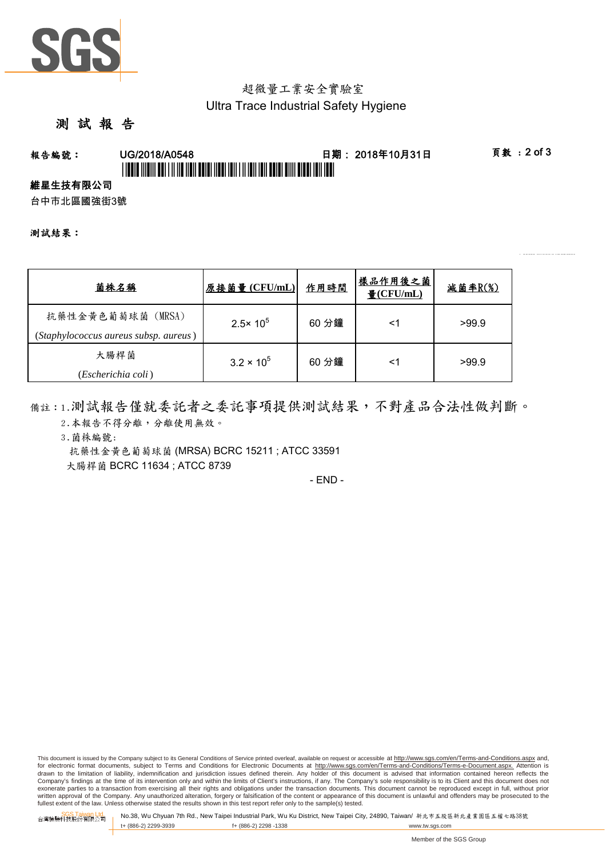

### 超微量工業安全實驗室 Ultra Trace Industrial Safety Hygiene

### 測 試 報 告

# **報告編號: UG/2018/A0548 - 日期:2018年10月31日 - 頁數:2 of 3** \*L'INDIA INDIA DULLA NE NON DONA ALL'INDIA NELL'INDIA NON DUALE DI NEU NON NON

#### 維星生技有限公司

台中市北區國強街3號

測試結果:

| 菌株名稱                                                       | 原接菌量(CFU/mL)        | 作用時間  | 樣品作用後之菌<br>$\frac{1}{2}$ (CFU/mL) | <u>減菌率R(%)</u> |
|------------------------------------------------------------|---------------------|-------|-----------------------------------|----------------|
| 抗藥性金黃色葡萄球菌 (MRSA)<br>(Staphylococcus aureus subsp. aureus) | $2.5 \times 10^5$   | 60 分鐘 | <1                                | >99.9          |
| 大腸桿菌<br>(Escherichia coli)                                 | $3.2 \times 10^{5}$ | 60 分鐘 | <1                                | >99.9          |

備註:1.測試報告僅就委託者之委託事項提供測試結果,不對產品合法性做判斷。 2.本報告不得分離,分離使用無效。

3.菌株編號:

抗藥性金黃色葡萄球菌 (MRSA) BCRC 15211 ; ATCC 33591 大腸桿菌 BCRC 11634 ; ATCC 8739

- END -

This document is issued by the Company subject to its General Conditions of Service printed overleaf, available on request or accessible at http://www.sgs.com/en/Terms-and-Conditions.aspx and, for electronic format documents, subject to Terms and Conditions for Electronic Documents at http://www.sgs.com/en/Terms-and-Conditions/Terms-e-Document.aspx. Attention is drawn to the limitation of liability, indemnification and jurisdiction issues defined therein. Any holder of this document is advised that information contained hereon reflects the<br>Company's findings at the time of its int exonerate parties to a transaction from exercising all their rights and obligations under the transaction documents. This document cannot be reproduced except in full, without prior written approval of the Company. Any unauthorized alteration, forgery or falsification of the content or appearance of this document is unlawful and offenders may be prosecuted to the<br>fullest extent of the law. Unless othe